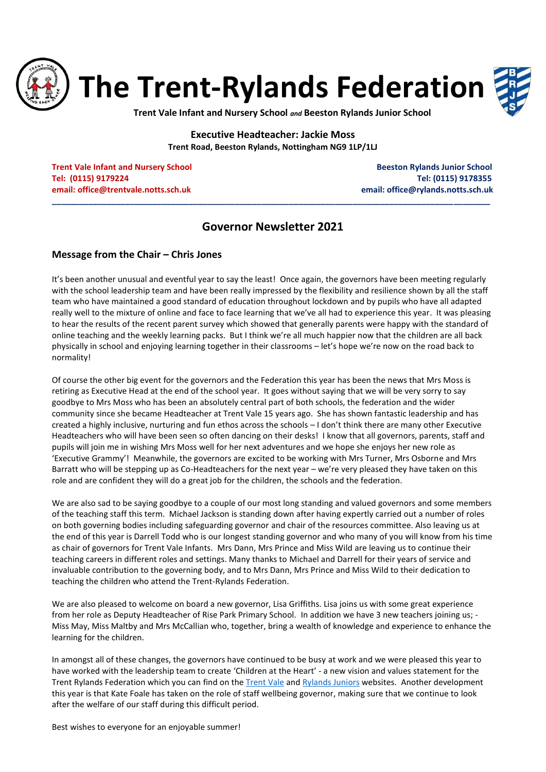

**Trent Vale Infant and Nursery School** *and* **Beeston Rylands Junior School**

**Executive Headteacher: Jackie Moss Trent Road, Beeston Rylands, Nottingham NG9 1LP/1LJ**

**Trent Vale Infant and Nursery School School Beeston Rylands Junior School Beeston Rylands Junior School Tel: (0115) 9179224 Tel: (0115) 9178355 email[: office@trentvale.notts.sch.uk](mailto:office@trentvale.notts.sch.uk) email: [office@rylands.notts.sch.uk](mailto:office@rylands.notts.sch.uk)**

## **Governor Newsletter 2021**

**\_\_\_\_\_\_\_\_\_\_\_\_\_\_\_\_\_\_\_\_\_\_\_\_\_\_\_\_\_\_\_\_\_\_\_\_\_\_\_\_\_\_\_\_\_\_\_\_\_\_\_\_\_\_\_\_\_\_\_\_\_\_\_\_\_\_\_\_\_\_\_\_\_\_\_\_\_\_\_\_\_\_\_\_\_\_\_\_\_\_\_\_\_\_\_\_**

#### **Message from the Chair – Chris Jones**

It's been another unusual and eventful year to say the least! Once again, the governors have been meeting regularly with the school leadership team and have been really impressed by the flexibility and resilience shown by all the staff team who have maintained a good standard of education throughout lockdown and by pupils who have all adapted really well to the mixture of online and face to face learning that we've all had to experience this year. It was pleasing to hear the results of the recent parent survey which showed that generally parents were happy with the standard of online teaching and the weekly learning packs. But I think we're all much happier now that the children are all back physically in school and enjoying learning together in their classrooms – let's hope we're now on the road back to normality!

Of course the other big event for the governors and the Federation this year has been the news that Mrs Moss is retiring as Executive Head at the end of the school year. It goes without saying that we will be very sorry to say goodbye to Mrs Moss who has been an absolutely central part of both schools, the federation and the wider community since she became Headteacher at Trent Vale 15 years ago. She has shown fantastic leadership and has created a highly inclusive, nurturing and fun ethos across the schools – I don't think there are many other Executive Headteachers who will have been seen so often dancing on their desks! I know that all governors, parents, staff and pupils will join me in wishing Mrs Moss well for her next adventures and we hope she enjoys her new role as 'Executive Grammy'! Meanwhile, the governors are excited to be working with Mrs Turner, Mrs Osborne and Mrs Barratt who will be stepping up as Co-Headteachers for the next year – we're very pleased they have taken on this role and are confident they will do a great job for the children, the schools and the federation.

We are also sad to be saying goodbye to a couple of our most long standing and valued governors and some members of the teaching staff this term. Michael Jackson is standing down after having expertly carried out a number of roles on both governing bodies including safeguarding governor and chair of the resources committee. Also leaving us at the end of this year is Darrell Todd who is our longest standing governor and who many of you will know from his time as chair of governors for Trent Vale Infants. Mrs Dann, Mrs Prince and Miss Wild are leaving us to continue their teaching careers in different roles and settings. Many thanks to Michael and Darrell for their years of service and invaluable contribution to the governing body, and to Mrs Dann, Mrs Prince and Miss Wild to their dedication to teaching the children who attend the Trent-Rylands Federation.

We are also pleased to welcome on board a new governor, Lisa Griffiths. Lisa joins us with some great experience from her role as Deputy Headteacher of Rise Park Primary School. In addition we have 3 new teachers joining us; - Miss May, Miss Maltby and Mrs McCallian who, together, bring a wealth of knowledge and experience to enhance the learning for the children.

In amongst all of these changes, the governors have continued to be busy at work and we were pleased this year to have worked with the leadership team to create 'Children at the Heart' - a new vision and values statement for the Trent Rylands Federation which you can find on the [Trent Vale](https://www.trentvale.notts.sch.uk/our-values/vision-statement/) and [Rylands Juniors](http://www.beestonrylandsjunior.co.uk/our-values/vision-and-values/) websites. Another development this year is that Kate Foale has taken on the role of staff wellbeing governor, making sure that we continue to look after the welfare of our staff during this difficult period.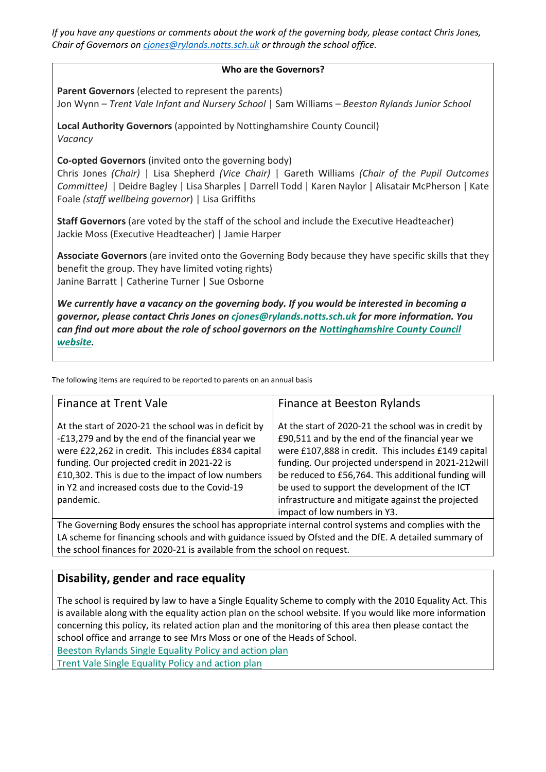*If you have any questions or comments about the work of the governing body, please contact Chris Jones, Chair of Governors on [cjones@rylands.notts.sch.uk](mailto:cjones@rylands.notts.sch.uk) or through the school office.*

#### **Who are the Governors?**

**Parent Governors** (elected to represent the parents) Jon Wynn – *Trent Vale Infant and Nursery School* | Sam Williams – *Beeston Rylands Junior School*

**Local Authority Governors** (appointed by Nottinghamshire County Council) *Vacancy*

**Co-opted Governors** (invited onto the governing body)

Chris Jones *(Chair)* | Lisa Shepherd *(Vice Chair)* | Gareth Williams *(Chair of the Pupil Outcomes Committee)* | Deidre Bagley | Lisa Sharples | Darrell Todd | Karen Naylor | Alisatair McPherson | Kate Foale *(staff wellbeing governor*) | Lisa Griffiths

**Staff Governors** (are voted by the staff of the school and include the Executive Headteacher) Jackie Moss (Executive Headteacher) | Jamie Harper

**Associate Governors** (are invited onto the Governing Body because they have specific skills that they benefit the group. They have limited voting rights) Janine Barratt | Catherine Turner | Sue Osborne

*We currently have a vacancy on the governing body. If you would be interested in becoming a governor, please contact Chris Jones on [cjones@rylands.notts.sch.uk](mailto:cjones@rylands.notts.sch.uk) for more information. You can find out more about the role of school governors on the [Nottinghamshire County Council](https://www.nottinghamshire.gov.uk/education/school-governors/become-a-school-governor)  [website.](https://www.nottinghamshire.gov.uk/education/school-governors/become-a-school-governor)*

The following items are required to be reported to parents on an annual basis

| <b>Finance at Trent Vale</b>                                                                                                                                                                                                                                                                                                     | Finance at Beeston Rylands                                                                                                                                                                                                                                                                                                                                                                                      |
|----------------------------------------------------------------------------------------------------------------------------------------------------------------------------------------------------------------------------------------------------------------------------------------------------------------------------------|-----------------------------------------------------------------------------------------------------------------------------------------------------------------------------------------------------------------------------------------------------------------------------------------------------------------------------------------------------------------------------------------------------------------|
| At the start of 2020-21 the school was in deficit by<br>-£13,279 and by the end of the financial year we<br>were £22,262 in credit. This includes £834 capital<br>funding. Our projected credit in 2021-22 is<br>£10,302. This is due to the impact of low numbers<br>in Y2 and increased costs due to the Covid-19<br>pandemic. | At the start of 2020-21 the school was in credit by<br>£90,511 and by the end of the financial year we<br>were £107,888 in credit. This includes £149 capital<br>funding. Our projected underspend in 2021-212will<br>be reduced to £56,764. This additional funding will<br>be used to support the development of the ICT<br>infrastructure and mitigate against the projected<br>impact of low numbers in Y3. |

The Governing Body ensures the school has appropriate internal control systems and complies with the LA scheme for financing schools and with guidance issued by Ofsted and the DfE. A detailed summary of the school finances for 2020-21 is available from the school on request.

## **Disability, gender and race equality**

The school is required by law to have a Single Equality Scheme to comply with the 2010 Equality Act. This is available along with the equality action plan on the school website. If you would like more information concerning this policy, its related action plan and the monitoring of this area then please contact the school office and arrange to see Mrs Moss or one of the Heads of School. [Beeston Rylands Single Equality Policy and action plan](http://www.beestonrylandsjunior.co.uk/wp-content/uploads/sites/2/2019/02/Equality-Policy-2018-BRJS.pdf)

[Trent Vale Single Equality Policy and action plan](http://www.trentvale.notts.sch.uk/wp-content/uploads/2019/02/Equality-Policy-2018.pdf)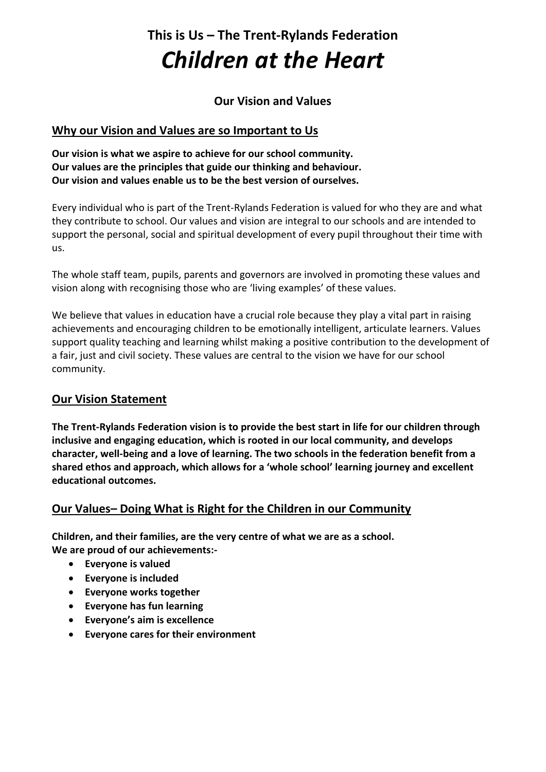# **This is Us – The Trent-Rylands Federation** *Children at the Heart*

## **Our Vision and Values**

## **Why our Vision and Values are so Important to Us**

**Our vision is what we aspire to achieve for our school community. Our values are the principles that guide our thinking and behaviour. Our vision and values enable us to be the best version of ourselves.**

Every individual who is part of the Trent-Rylands Federation is valued for who they are and what they contribute to school. Our values and vision are integral to our schools and are intended to support the personal, social and spiritual development of every pupil throughout their time with us.

The whole staff team, pupils, parents and governors are involved in promoting these values and vision along with recognising those who are 'living examples' of these values.

We believe that values in education have a crucial role because they play a vital part in raising achievements and encouraging children to be emotionally intelligent, articulate learners. Values support quality teaching and learning whilst making a positive contribution to the development of a fair, just and civil society. These values are central to the vision we have for our school community.

## **Our Vision Statement**

**The Trent-Rylands Federation vision is to provide the best start in life for our children through inclusive and engaging education, which is rooted in our local community, and develops character, well-being and a love of learning. The two schools in the federation benefit from a shared ethos and approach, which allows for a 'whole school' learning journey and excellent educational outcomes.**

## **Our Values– Doing What is Right for the Children in our Community**

**Children, and their families, are the very centre of what we are as a school. We are proud of our achievements:-**

- **Everyone is valued**
- **Everyone is included**
- **Everyone works together**
- **Everyone has fun learning**
- **Everyone's aim is excellence**
- **Everyone cares for their environment**